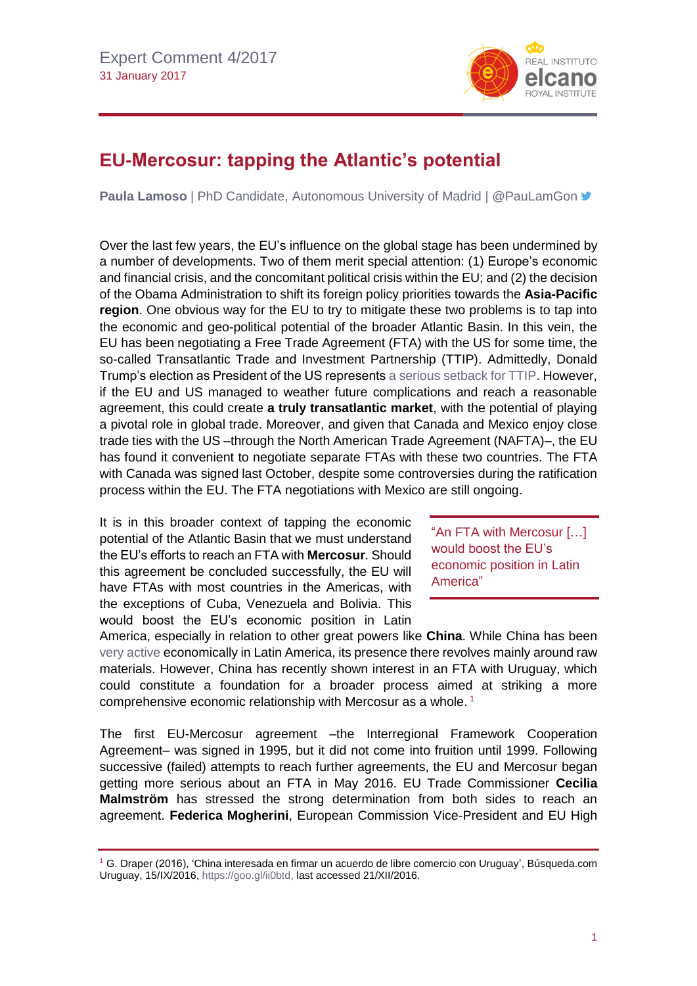

## **EU-Mercosur: tapping the Atlantic's potential**

**Paula Lamoso** | PhD Candidate, Autonomous University of Madrid | @PauLamGon **■** 

Over the last few years, the EU's influence on the global stage has been undermined by a number of developments. Two of them merit special attention: (1) Europe's economic and financial crisis, and the concomitant political crisis within the EU; and (2) the decision of the Obama Administration to shift its foreign policy priorities towards the **Asia-Pacific region**. One obvious way for the EU to try to mitigate these two problems is to tap into the economic and geo-political potential of the broader Atlantic Basin. In this vein, the EU has been negotiating a Free Trade Agreement (FTA) with the US for some time, the so-called Transatlantic Trade and Investment Partnership (TTIP). Admittedly, Donald Trump's election as President of the US represents [a serious setback for TTIP.](http://www.blog.rielcano.org/en/europe-is-unprepared-for-trump/) However, if the EU and US managed to weather future complications and reach a reasonable agreement, this could create **a truly transatlantic market**, with the potential of playing a pivotal role in global trade. Moreover, and given that Canada and Mexico enjoy close trade ties with the US-through the North American Trade Agreement (NAFTA)–, the EU has found it convenient to negotiate separate FTAs with these two countries. The FTA with Canada was signed last October, despite some controversies during the ratification process within the EU. The FTA negotiations with Mexico are still ongoing.

It is in this broader context of tapping the economic potential of the Atlantic Basin that we must understand the EU's efforts to reach an FTA with **Mercosur**. Should this agreement be concluded successfully, the EU will have FTAs with most countries in the Americas, with the exceptions of Cuba, Venezuela and Bolivia. This would boost the EU's economic position in Latin

"An FTA with Mercosur […] would boost the EU's economic position in Latin America"

America, especially in relation to other great powers like **China**. While China has been [very active](http://www.realinstitutoelcano.org/wps/portal/web/rielcano_en/contenido?WCM_GLOBAL_CONTEXT=/elcano/elcano_in/zonas_in/latin+america/wp3-2015-esteban-china-in-latin-america-repercussions-for-spain) economically in Latin America, its presence there revolves mainly around raw materials. However, China has recently shown interest in an FTA with Uruguay, which could constitute a foundation for a broader process aimed at striking a more comprehensive economic relationship with Mercosur as a whole. 1

The first EU-Mercosur agreement –the Interregional Framework Cooperation Agreement– was signed in 1995, but it did not come into fruition until 1999. Following successive (failed) attempts to reach further agreements, the EU and Mercosur began getting more serious about an FTA in May 2016. EU Trade Commissioner **Cecilia Malmström** has stressed the strong determination from both sides to reach an agreement. **Federica Mogherini**, European Commission Vice-President and EU High

<sup>1</sup> G. Draper (2016), 'China interesada en firmar un acuerdo de libre comercio con Uruguay', Búsqueda.com Uruguay, 15/IX/2016[, https://goo.gl/ii0btd,](https://goo.gl/ii0btd) last accessed 21/XII/2016.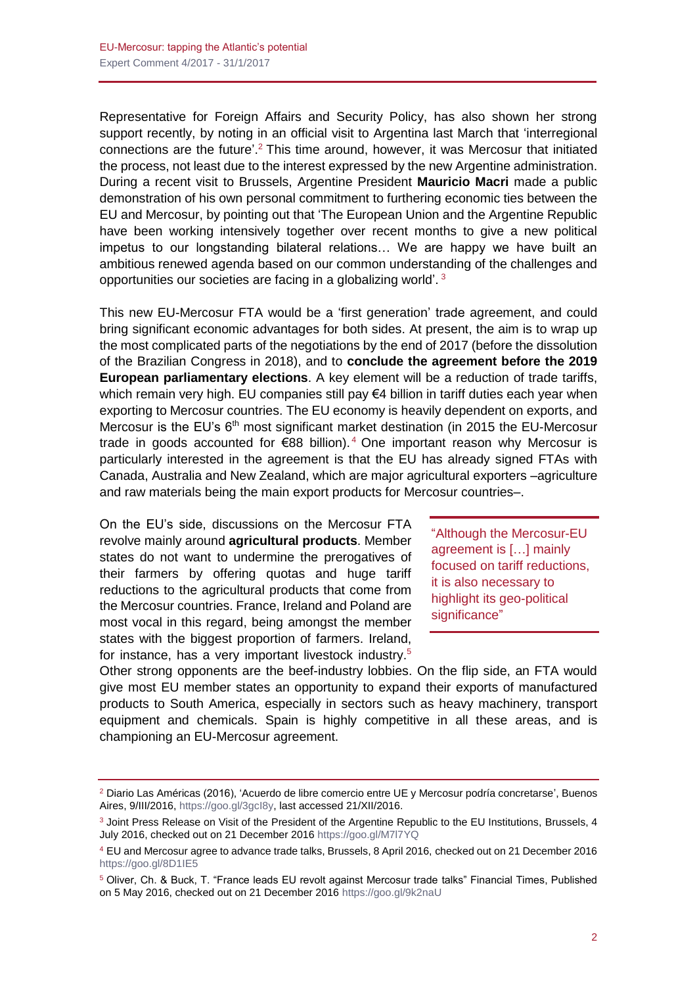Representative for Foreign Affairs and Security Policy, has also shown her strong support recently, by noting in an official visit to Argentina last March that 'interregional connections are the future'. <sup>2</sup> This time around, however, it was Mercosur that initiated the process, not least due to the interest expressed by the new Argentine administration. During a recent visit to Brussels, Argentine President **Mauricio Macri** made a public demonstration of his own personal commitment to furthering economic ties between the EU and Mercosur, by pointing out that 'The European Union and the Argentine Republic have been working intensively together over recent months to give a new political impetus to our longstanding bilateral relations… We are happy we have built an ambitious renewed agenda based on our common understanding of the challenges and opportunities our societies are facing in a globalizing world'.<sup>3</sup>

This new EU-Mercosur FTA would be a 'first generation' trade agreement, and could bring significant economic advantages for both sides. At present, the aim is to wrap up the most complicated parts of the negotiations by the end of 2017 (before the dissolution of the Brazilian Congress in 2018), and to **conclude the agreement before the 2019 European parliamentary elections**. A key element will be a reduction of trade tariffs, which remain very high. EU companies still pay €4 billion in tariff duties each year when exporting to Mercosur countries. The EU economy is heavily dependent on exports, and Mercosur is the EU's  $6<sup>th</sup>$  most significant market destination (in 2015 the EU-Mercosur trade in goods accounted for €88 billion). <sup>4</sup> One important reason why Mercosur is particularly interested in the agreement is that the EU has already signed FTAs with Canada, Australia and New Zealand, which are major agricultural exporters –agriculture and raw materials being the main export products for Mercosur countries–.

On the EU's side, discussions on the Mercosur FTA revolve mainly around **agricultural products**. Member states do not want to undermine the prerogatives of their farmers by offering quotas and huge tariff reductions to the agricultural products that come from the Mercosur countries. France, Ireland and Poland are most vocal in this regard, being amongst the member states with the biggest proportion of farmers. Ireland, for instance, has a very important livestock industry.<sup>5</sup>

"Although the Mercosur-EU agreement is […] mainly focused on tariff reductions, it is also necessary to highlight its geo-political significance"

Other strong opponents are the beef-industry lobbies. On the flip side, an FTA would give most EU member states an opportunity to expand their exports of manufactured products to South America, especially in sectors such as heavy machinery, transport equipment and chemicals. Spain is highly competitive in all these areas, and is championing an EU-Mercosur agreement.

<sup>2</sup> Diario Las Américas (2016), 'Acuerdo de libre comercio entre UE y Mercosur podría concretarse', Buenos Aires, 9/III/2016, [https://goo.gl/3gcI8y,](https://goo.gl/3gcI8y) last accessed 21/XII/2016.

<sup>&</sup>lt;sup>3</sup> Joint Press Release on Visit of the President of the Argentine Republic to the EU Institutions, Brussels, 4 July 2016, checked out on 21 December 2016 <https://goo.gl/M7l7YQ>

<sup>4</sup> EU and Mercosur agree to advance trade talks, Brussels, 8 April 2016, checked out on 21 December 2016 <https://goo.gl/8D1IE5>

<sup>5</sup> Oliver, Ch. & Buck, T. "France leads EU revolt against Mercosur trade talks" Financial Times, Published on 5 May 2016, checked out on 21 December 2016<https://goo.gl/9k2naU>